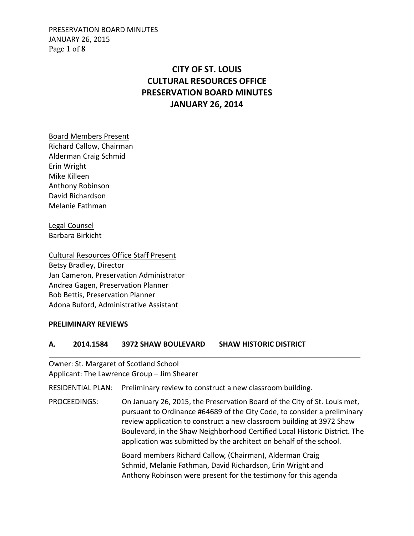PRESERVATION BOARD MINUTES JANUARY 26, 2015 Page **1** of **8**

# **CITY OF ST. LOUIS CULTURAL RESOURCES OFFICE PRESERVATION BOARD MINUTES JANUARY 26, 2014**

Board Members Present Richard Callow, Chairman Alderman Craig Schmid Erin Wright Mike Killeen Anthony Robinson David Richardson Melanie Fathman

Legal Counsel Barbara Birkicht

Cultural Resources Office Staff Present Betsy Bradley, Director Jan Cameron, Preservation Administrator Andrea Gagen, Preservation Planner Bob Bettis, Preservation Planner Adona Buford, Administrative Assistant

#### **PRELIMINARY REVIEWS**

## **A. 2014.1584 3972 SHAW BOULEVARD SHAW HISTORIC DISTRICT**

Owner: St. Margaret of Scotland School Applicant: The Lawrence Group – Jim Shearer

RESIDENTIAL PLAN: Preliminary review to construct a new classroom building.

PROCEEDINGS: On January 26, 2015, the Preservation Board of the City of St. Louis met, pursuant to Ordinance #64689 of the City Code, to consider a preliminary review application to construct a new classroom building at 3972 Shaw Boulevard, in the Shaw Neighborhood Certified Local Historic District. The application was submitted by the architect on behalf of the school.

> Board members Richard Callow, (Chairman), Alderman Craig Schmid, Melanie Fathman, David Richardson, Erin Wright and Anthony Robinson were present for the testimony for this agenda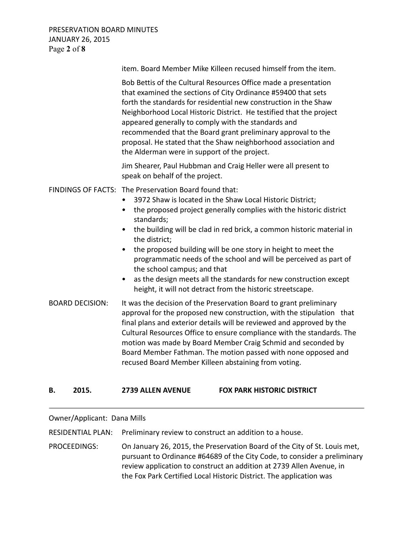PRESERVATION BOARD MINUTES JANUARY 26, 2015 Page **2** of **8**

|                        | item. Board Member Mike Killeen recused himself from the item.                                                                                                                                                                                                                                                                                                                                                                                                                                                                                                                                                                                               |
|------------------------|--------------------------------------------------------------------------------------------------------------------------------------------------------------------------------------------------------------------------------------------------------------------------------------------------------------------------------------------------------------------------------------------------------------------------------------------------------------------------------------------------------------------------------------------------------------------------------------------------------------------------------------------------------------|
|                        | Bob Bettis of the Cultural Resources Office made a presentation<br>that examined the sections of City Ordinance #59400 that sets<br>forth the standards for residential new construction in the Shaw<br>Neighborhood Local Historic District. He testified that the project<br>appeared generally to comply with the standards and<br>recommended that the Board grant preliminary approval to the<br>proposal. He stated that the Shaw neighborhood association and<br>the Alderman were in support of the project.                                                                                                                                         |
|                        | Jim Shearer, Paul Hubbman and Craig Heller were all present to<br>speak on behalf of the project.                                                                                                                                                                                                                                                                                                                                                                                                                                                                                                                                                            |
|                        | FINDINGS OF FACTS: The Preservation Board found that:<br>3972 Shaw is located in the Shaw Local Historic District;<br>the proposed project generally complies with the historic district<br>$\bullet$<br>standards;<br>the building will be clad in red brick, a common historic material in<br>$\bullet$<br>the district;<br>the proposed building will be one story in height to meet the<br>$\bullet$<br>programmatic needs of the school and will be perceived as part of<br>the school campus; and that<br>as the design meets all the standards for new construction except<br>$\bullet$<br>height, it will not detract from the historic streetscape. |
| <b>BOARD DECISION:</b> | It was the decision of the Preservation Board to grant preliminary<br>approval for the proposed new construction, with the stipulation that<br>final plans and exterior details will be reviewed and approved by the<br>Cultural Resources Office to ensure compliance with the standards. The<br>motion was made by Board Member Craig Schmid and seconded by<br>Board Member Fathman. The motion passed with none opposed and<br>recused Board Member Killeen abstaining from voting.                                                                                                                                                                      |

#### **B. 2015. 2739 ALLEN AVENUE FOX PARK HISTORIC DISTRICT**

# Owner/Applicant: Dana Mills

RESIDENTIAL PLAN: Preliminary review to construct an addition to a house.

PROCEEDINGS: On January 26, 2015, the Preservation Board of the City of St. Louis met, pursuant to Ordinance #64689 of the City Code, to consider a preliminary review application to construct an addition at 2739 Allen Avenue, in the Fox Park Certified Local Historic District. The application was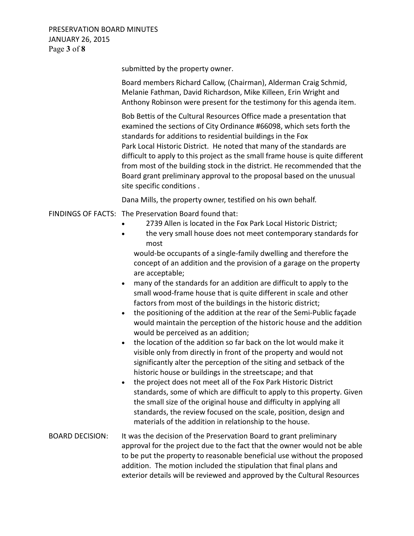PRESERVATION BOARD MINUTES JANUARY 26, 2015 Page **3** of **8**

submitted by the property owner.

 Board members Richard Callow, (Chairman), Alderman Craig Schmid, Melanie Fathman, David Richardson, Mike Killeen, Erin Wright and Anthony Robinson were present for the testimony for this agenda item.

 Bob Bettis of the Cultural Resources Office made a presentation that examined the sections of City Ordinance #66098, which sets forth the standards for additions to residential buildings in the Fox Park Local Historic District. He noted that many of the standards are difficult to apply to this project as the small frame house is quite different from most of the building stock in the district. He recommended that the Board grant preliminary approval to the proposal based on the unusual site specific conditions .

Dana Mills, the property owner, testified on his own behalf.

# FINDINGS OF FACTS: The Preservation Board found that:

- 2739 Allen is located in the Fox Park Local Historic District;
- the very small house does not meet contemporary standards for most

would-be occupants of a single-family dwelling and therefore the concept of an addition and the provision of a garage on the property are acceptable;

- many of the standards for an addition are difficult to apply to the small wood-frame house that is quite different in scale and other factors from most of the buildings in the historic district;
- the positioning of the addition at the rear of the Semi-Public façade would maintain the perception of the historic house and the addition would be perceived as an addition;
- the location of the addition so far back on the lot would make it visible only from directly in front of the property and would not significantly alter the perception of the siting and setback of the historic house or buildings in the streetscape; and that
- the project does not meet all of the Fox Park Historic District standards, some of which are difficult to apply to this property. Given the small size of the original house and difficulty in applying all standards, the review focused on the scale, position, design and materials of the addition in relationship to the house.
- BOARD DECISION: It was the decision of the Preservation Board to grant preliminary approval for the project due to the fact that the owner would not be able to be put the property to reasonable beneficial use without the proposed addition. The motion included the stipulation that final plans and exterior details will be reviewed and approved by the Cultural Resources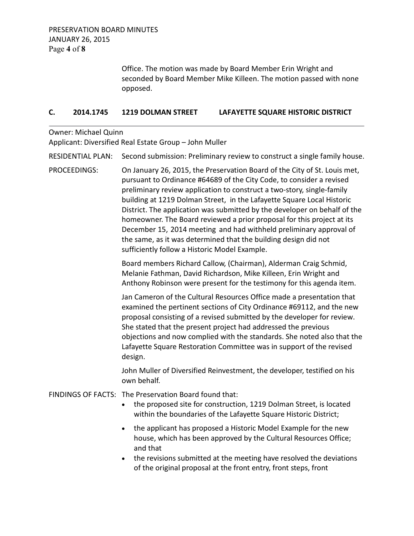Office. The motion was made by Board Member Erin Wright and seconded by Board Member Mike Killeen. The motion passed with none opposed.

#### **C. 2014.1745 1219 DOLMAN STREET LAFAYETTE SQUARE HISTORIC DISTRICT**

Owner: Michael Quinn Applicant: Diversified Real Estate Group – John Muller

RESIDENTIAL PLAN: Second submission: Preliminary review to construct a single family house.

PROCEEDINGS: On January 26, 2015, the Preservation Board of the City of St. Louis met, pursuant to Ordinance #64689 of the City Code, to consider a revised preliminary review application to construct a two-story, single-family building at 1219 Dolman Street, in the Lafayette Square Local Historic District. The application was submitted by the developer on behalf of the homeowner. The Board reviewed a prior proposal for this project at its December 15, 2014 meeting and had withheld preliminary approval of the same, as it was determined that the building design did not sufficiently follow a Historic Model Example.

> Board members Richard Callow, (Chairman), Alderman Craig Schmid, Melanie Fathman, David Richardson, Mike Killeen, Erin Wright and Anthony Robinson were present for the testimony for this agenda item.

Jan Cameron of the Cultural Resources Office made a presentation that examined the pertinent sections of City Ordinance #69112, and the new proposal consisting of a revised submitted by the developer for review. She stated that the present project had addressed the previous objections and now complied with the standards. She noted also that the Lafayette Square Restoration Committee was in support of the revised design.

 John Muller of Diversified Reinvestment, the developer, testified on his own behalf.

FINDINGS OF FACTS: The Preservation Board found that:

- the proposed site for construction, 1219 Dolman Street, is located within the boundaries of the Lafayette Square Historic District;
- the applicant has proposed a Historic Model Example for the new house, which has been approved by the Cultural Resources Office; and that
- the revisions submitted at the meeting have resolved the deviations of the original proposal at the front entry, front steps, front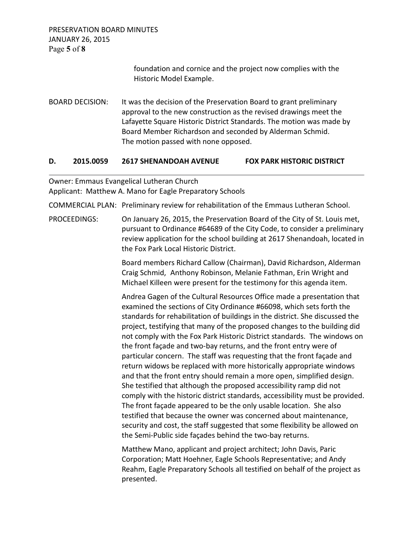PRESERVATION BOARD MINUTES JANUARY 26, 2015 Page **5** of **8**

> foundation and cornice and the project now complies with the Historic Model Example.

BOARD DECISION: It was the decision of the Preservation Board to grant preliminary approval to the new construction as the revised drawings meet the Lafayette Square Historic District Standards. The motion was made by Board Member Richardson and seconded by Alderman Schmid. The motion passed with none opposed.

## **D. 2015.0059 2617 SHENANDOAH AVENUE FOX PARK HISTORIC DISTRICT**

Owner: Emmaus Evangelical Lutheran Church

Applicant: Matthew A. Mano for Eagle Preparatory Schools

COMMERCIAL PLAN: Preliminary review for rehabilitation of the Emmaus Lutheran School.

PROCEEDINGS: On January 26, 2015, the Preservation Board of the City of St. Louis met, pursuant to Ordinance #64689 of the City Code, to consider a preliminary review application for the school building at 2617 Shenandoah, located in the Fox Park Local Historic District.

> Board members Richard Callow (Chairman), David Richardson, Alderman Craig Schmid, Anthony Robinson, Melanie Fathman, Erin Wright and Michael Killeen were present for the testimony for this agenda item.

Andrea Gagen of the Cultural Resources Office made a presentation that examined the sections of City Ordinance #66098, which sets forth the standards for rehabilitation of buildings in the district. She discussed the project, testifying that many of the proposed changes to the building did not comply with the Fox Park Historic District standards. The windows on the front façade and two-bay returns, and the front entry were of particular concern. The staff was requesting that the front façade and return widows be replaced with more historically appropriate windows and that the front entry should remain a more open, simplified design. She testified that although the proposed accessibility ramp did not comply with the historic district standards, accessibility must be provided. The front façade appeared to be the only usable location. She also testified that because the owner was concerned about maintenance, security and cost, the staff suggested that some flexibility be allowed on the Semi-Public side façades behind the two-bay returns.

 Matthew Mano, applicant and project architect; John Davis, Paric Corporation; Matt Hoehner, Eagle Schools Representative; and Andy Reahm, Eagle Preparatory Schools all testified on behalf of the project as presented.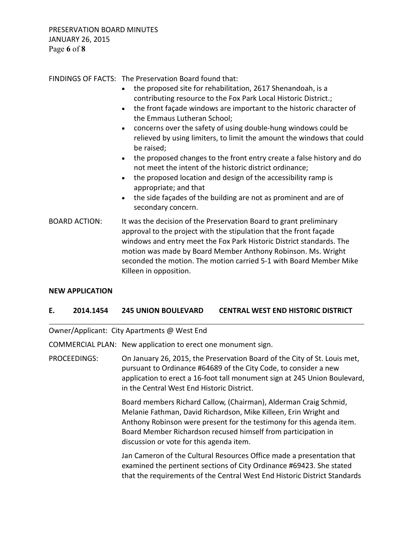PRESERVATION BOARD MINUTES JANUARY 26, 2015 Page **6** of **8**

FINDINGS OF FACTS: The Preservation Board found that:

- the proposed site for rehabilitation, 2617 Shenandoah, is a contributing resource to the Fox Park Local Historic District.;
- the front façade windows are important to the historic character of the Emmaus Lutheran School;
- concerns over the safety of using double-hung windows could be relieved by using limiters, to limit the amount the windows that could be raised;
- the proposed changes to the front entry create a false history and do not meet the intent of the historic district ordinance;
- the proposed location and design of the accessibility ramp is appropriate; and that
- the side façades of the building are not as prominent and are of secondary concern.
- BOARD ACTION: It was the decision of the Preservation Board to grant preliminary approval to the project with the stipulation that the front façade windows and entry meet the Fox Park Historic District standards. The motion was made by Board Member Anthony Robinson. Ms. Wright seconded the motion. The motion carried 5-1 with Board Member Mike Killeen in opposition.

## **NEW APPLICATION**

## **E. 2014.1454 245 UNION BOULEVARD CENTRAL WEST END HISTORIC DISTRICT**

Owner/Applicant: City Apartments @ West End

COMMERCIAL PLAN: New application to erect one monument sign.

PROCEEDINGS: On January 26, 2015, the Preservation Board of the City of St. Louis met, pursuant to Ordinance #64689 of the City Code, to consider a new application to erect a 16-foot tall monument sign at 245 Union Boulevard, in the Central West End Historic District.

> Board members Richard Callow, (Chairman), Alderman Craig Schmid, Melanie Fathman, David Richardson, Mike Killeen, Erin Wright and Anthony Robinson were present for the testimony for this agenda item. Board Member Richardson recused himself from participation in discussion or vote for this agenda item.

 Jan Cameron of the Cultural Resources Office made a presentation that examined the pertinent sections of City Ordinance #69423. She stated that the requirements of the Central West End Historic District Standards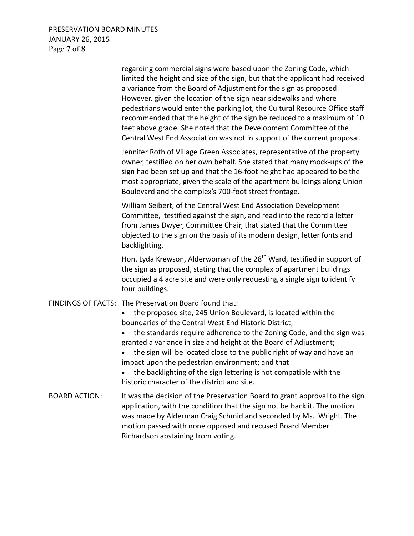PRESERVATION BOARD MINUTES JANUARY 26, 2015 Page **7** of **8**

 regarding commercial signs were based upon the Zoning Code, which limited the height and size of the sign, but that the applicant had received a variance from the Board of Adjustment for the sign as proposed. However, given the location of the sign near sidewalks and where pedestrians would enter the parking lot, the Cultural Resource Office staff recommended that the height of the sign be reduced to a maximum of 10 feet above grade. She noted that the Development Committee of the Central West End Association was not in support of the current proposal. Jennifer Roth of Village Green Associates, representative of the property owner, testified on her own behalf. She stated that many mock-ups of the sign had been set up and that the 16-foot height had appeared to be the most appropriate, given the scale of the apartment buildings along Union Boulevard and the complex's 700-foot street frontage. William Seibert, of the Central West End Association Development Committee, testified against the sign, and read into the record a letter from James Dwyer, Committee Chair, that stated that the Committee objected to the sign on the basis of its modern design, letter fonts and backlighting. Hon. Lyda Krewson, Alderwoman of the 28<sup>th</sup> Ward, testified in support of the sign as proposed, stating that the complex of apartment buildings occupied a 4 acre site and were only requesting a single sign to identify four buildings. FINDINGS OF FACTS: The Preservation Board found that: • the proposed site, 245 Union Boulevard, is located within the boundaries of the Central West End Historic District; • the standards require adherence to the Zoning Code, and the sign was granted a variance in size and height at the Board of Adjustment; • the sign will be located close to the public right of way and have an impact upon the pedestrian environment; and that • the backlighting of the sign lettering is not compatible with the historic character of the district and site. BOARD ACTION: It was the decision of the Preservation Board to grant approval to the sign application, with the condition that the sign not be backlit. The motion was made by Alderman Craig Schmid and seconded by Ms. Wright. The motion passed with none opposed and recused Board Member Richardson abstaining from voting.